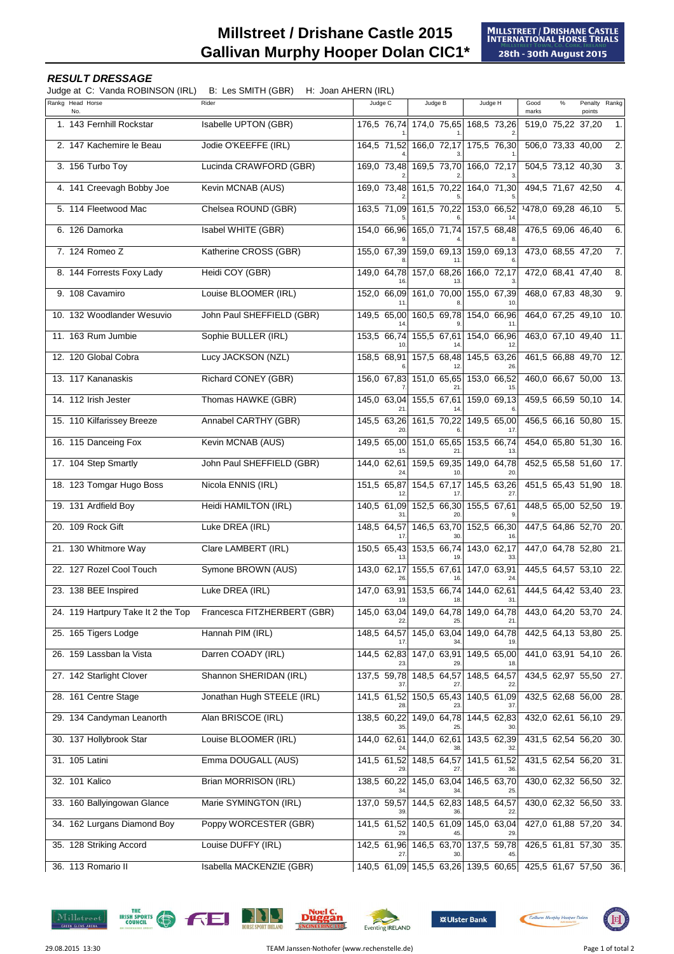## **Millstreet / Drishane Castle 2015 Gallivan Murphy Hooper Dolan CIC1\***

## **RESULT DRESSAGE**

Judge at C: Vanda ROBINSON (IRL) B: Les SMITH (GBR) H: Joan AHERN (IRL)

| $\frac{1}{2}$ . Tanga Robintoon (i.e.)<br>Rankg Head Horse | $\cdots$ vour $\cdots$ in $\cdots$ (if $\cdots$ )<br>Rider | Judge C     | Judge B                             | Judge H                                   | Good                  | $\%$ | Penalty Rankg     |                  |
|------------------------------------------------------------|------------------------------------------------------------|-------------|-------------------------------------|-------------------------------------------|-----------------------|------|-------------------|------------------|
| No.                                                        |                                                            |             |                                     |                                           | marks                 |      | points            |                  |
| 1. 143 Fernhill Rockstar                                   | Isabelle UPTON (GBR)                                       |             | 176,5 76,74 174,0 75,65 168,5 73,26 |                                           | 519,0 75,22 37,20     |      |                   | $\mathbf{1}$ .   |
| 2. 147 Kachemire le Beau                                   | Jodie O'KEEFFE (IRL)                                       | 164,5 71,52 |                                     | 166,0 72,17 175,5 76,30                   | 506,0 73,33 40,00     |      |                   | $\overline{2}$ . |
| 3. 156 Turbo Toy                                           | Lucinda CRAWFORD (GBR)                                     |             | 169,0 73,48 169,5 73,70 166,0 72,17 |                                           | 504,5 73,12 40,30     |      |                   | $\overline{3}$ . |
| 4. 141 Creevagh Bobby Joe                                  | Kevin MCNAB (AUS)                                          |             | 169,0 73,48 161,5 70,22             | 164,0 71,30                               | 494,5 71,67 42,50     |      |                   | $\overline{4}$ . |
| 5. 114 Fleetwood Mac                                       | Chelsea ROUND (GBR)                                        |             | 163,5 71,09 161,5 70,22 153,0 66,52 |                                           | 1478,0 69,28 46,10    |      |                   | 5.               |
| 6. 126 Damorka                                             | Isabel WHITE (GBR)                                         |             |                                     | 154,0 66,96 165,0 71,74 157,5 68,48       | 476,5 69,06 46,40     |      |                   | 6.               |
| 7. 124 Romeo Z                                             | Katherine CROSS (GBR)                                      |             | 155,0 67,39 159,0 69,13 159,0 69,13 |                                           | 473,0 68,55 47,20     |      |                   | 7.               |
| 8. 144 Forrests Foxy Lady                                  | Heidi COY (GBR)                                            |             | 149,0 64,78 157,0 68,26 166,0 72,17 |                                           | 472,0 68,41 47,40     |      |                   | $\overline{8}$ . |
| 9. 108 Cavamiro                                            | Louise BLOOMER (IRL)                                       |             | 152,0 66,09 161,0 70,00 155,0 67,39 |                                           | 468,0 67,83 48,30     |      |                   | 9.               |
| 10. 132 Woodlander Wesuvio                                 | John Paul SHEFFIELD (GBR)                                  |             |                                     | 149,5 65,00 160,5 69,78 154,0 66,96       | 464,0 67,25 49,10     |      |                   | 10.              |
| 11. 163 Rum Jumbie                                         | Sophie BULLER (IRL)                                        |             |                                     | 153,5 66,74 155,5 67,61 154,0 66,96       | 463,0 67,10 49,40     |      |                   | 11.              |
| 12. 120 Global Cobra                                       | Lucy JACKSON (NZL)                                         |             |                                     | 158,5 68,91 157,5 68,48 145,5 63,26       | 461,5 66,88 49,70 12. |      |                   |                  |
| 13. 117 Kananaskis                                         | Richard CONEY (GBR)                                        |             | 156,0 67,83 151,0 65,65 153,0 66,52 |                                           | 460,0 66,67 50,00 13. |      |                   |                  |
| 14. 112 Irish Jester                                       | Thomas HAWKE (GBR)                                         |             |                                     | 145,0 63,04 155,5 67,61 159,0 69,13       | 459,5 66,59 50,10 14. |      |                   |                  |
| 15. 110 Kilfarissey Breeze                                 | Annabel CARTHY (GBR)                                       |             | 145,5 63,26 161,5 70,22 149,5 65,00 |                                           | 456,5 66,16 50,80 15. |      |                   |                  |
| 16. 115 Danceing Fox                                       | Kevin MCNAB (AUS)                                          |             | 149,5 65,00 151,0 65,65 153,5 66,74 |                                           | 454,0 65,80 51,30 16. |      |                   |                  |
| 17. 104 Step Smartly                                       | John Paul SHEFFIELD (GBR)                                  | 144,0 62,61 | 159,5 69,35                         | 149,0 64,78                               | 452,5 65,58 51,60 17. |      |                   |                  |
| 18. 123 Tomgar Hugo Boss                                   | Nicola ENNIS (IRL)                                         |             |                                     | 151,5 65,87 154,5 67,17 145,5 63,26       | 451,5 65,43 51,90     |      |                   | 18.              |
| 19. 131 Ardfield Boy                                       | <b>Heidi HAMILTON (IRL)</b>                                |             | 140,5 61,09 152,5 66,30             | 155,5 67,61                               | 448,5 65,00 52,50 19. |      |                   |                  |
| 20. 109 Rock Gift                                          | Luke DREA (IRL)                                            |             |                                     | 148,5 64,57 146,5 63,70 152,5 66,30       | 447,5 64,86 52,70 20. |      |                   |                  |
| 21. 130 Whitmore Way                                       | Clare LAMBERT (IRL)                                        |             | 150,5 65,43 153,5 66,74             | 143,0 62,17                               | 447,0 64,78 52,80 21. |      |                   |                  |
| 22. 127 Rozel Cool Touch                                   | Symone BROWN (AUS)                                         |             | 143,0 62,17 155,5 67,61 147,0 63,91 |                                           | 445,5 64,57 53,10 22. |      |                   |                  |
| 23. 138 BEE Inspired                                       | Luke DREA (IRL)                                            | 19.         | 18                                  | 147,0 63,91 153,5 66,74 144,0 62,61<br>31 | 444,5 64,42 53,40 23. |      |                   |                  |
| 24. 119 Hartpury Take It 2 the Top                         | Francesca FITZHERBERT (GBR)                                | 145,0 63,04 | 149,0 64,78                         | 149,0 64,78                               | 443,0 64,20 53,70 24. |      |                   |                  |
| 25. 165 Tigers Lodge                                       | Hannah PIM (IRL)                                           | 148,5 64,57 | 145,0 63,04                         | 149,0 64,78                               | 442,5 64,13 53,80 25. |      |                   |                  |
| 26. 159 Lassban la Vista                                   | Darren COADY (IRL)                                         |             | 144,5 62,83 147,0 63,91             | 149,5 65,00                               | 441,0 63,91 54,10     |      |                   | 26.              |
| 27. 142 Starlight Clover                                   | Shannon SHERIDAN (IRL)                                     |             | 137,5 59,78 148,5 64,57             | 148,5 64,57                               |                       |      | 434,5 62,97 55,50 | 27.              |
| 28. 161 Centre Stage                                       | Jonathan Hugh STEELE (IRL)                                 |             | 141,5 61,52 150,5 65,43             | 140,5 61,09                               | 432,5 62,68 56,00 28. |      |                   |                  |
| 29. 134 Candyman Leanorth                                  | Alan BRISCOE (IRL)                                         | 138,5 60,22 | 149,0 64,78                         | 144,5 62,83                               | 432,0 62,61 56,10 29. |      |                   |                  |
| 30. 137 Hollybrook Star                                    | Louise BLOOMER (IRL)                                       |             | 144,0 62,61 144,0 62,61             | 143,5 62,39                               | 431,5 62,54 56,20 30. |      |                   |                  |
| 31. 105 Latini                                             | Emma DOUGALL (AUS)                                         |             | 141,5 61,52 148,5 64,57             | 141,5 61,52                               | 431,5 62,54 56,20     |      |                   | 31.              |
| 32. 101 Kalico                                             | Brian MORRISON (IRL)                                       | 138,5 60,22 | 145,0 63,04                         | 146,5 63,70                               | 430,0 62,32 56,50 32. |      |                   |                  |
| 33. 160 Ballyingowan Glance                                | Marie SYMINGTON (IRL)                                      | 137,0 59,57 | 144,5 62,83 148,5 64,57             |                                           | 430,0 62,32 56,50     |      |                   | 33.              |
| 34. 162 Lurgans Diamond Boy                                | Poppy WORCESTER (GBR)                                      | 141,5 61,52 | 140,5 61,09                         | 145,0 63,04                               | 427,0 61,88 57,20     |      |                   | 34.              |
| 35. 128 Striking Accord                                    | Louise DUFFY (IRL)                                         |             |                                     | 142,5 61,96 146,5 63,70 137,5 59,78       | 426,5 61,81 57,30     |      |                   | 35.              |
| 36. 113 Romario II                                         | Isabella MACKENZIE (GBR)                                   |             |                                     | 140,5 61,09 145,5 63,26 139,5 60,65       | 425,5 61,67 57,50 36. |      |                   |                  |

Millstreet







ä'n